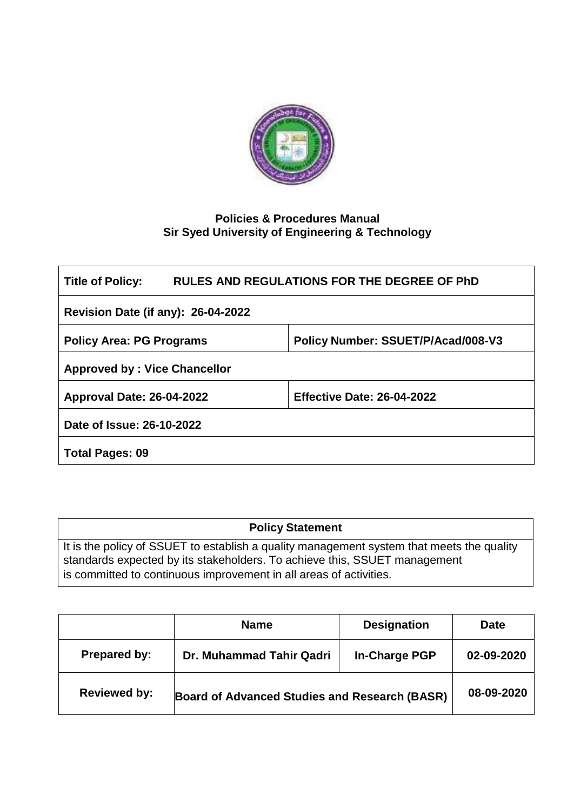

# **Policies & Procedures Manual Sir Syed University of Engineering & Technology**

| RULES AND REGULATIONS FOR THE DEGREE OF PhD<br><b>Title of Policy:</b> |                                   |  |  |  |
|------------------------------------------------------------------------|-----------------------------------|--|--|--|
| <b>Revision Date (if any): 26-04-2022</b>                              |                                   |  |  |  |
| Policy Number: SSUET/P/Acad/008-V3<br><b>Policy Area: PG Programs</b>  |                                   |  |  |  |
| <b>Approved by: Vice Chancellor</b>                                    |                                   |  |  |  |
| <b>Approval Date: 26-04-2022</b>                                       | <b>Effective Date: 26-04-2022</b> |  |  |  |
| Date of Issue: 26-10-2022                                              |                                   |  |  |  |
| <b>Total Pages: 09</b>                                                 |                                   |  |  |  |

| <b>Policy Statement</b>                                                                                                                                                |  |  |
|------------------------------------------------------------------------------------------------------------------------------------------------------------------------|--|--|
| It is the policy of SSUET to establish a quality management system that meets the quality<br>standards expected by its stakeholders. To achieve this, SSUET management |  |  |
| is committed to continuous improvement in all areas of activities.                                                                                                     |  |  |

|                     | <b>Name</b>                                   | <b>Designation</b>   | Date       |
|---------------------|-----------------------------------------------|----------------------|------------|
| Prepared by:        | Dr. Muhammad Tahir Qadri                      | <b>In-Charge PGP</b> | 02-09-2020 |
| <b>Reviewed by:</b> | Board of Advanced Studies and Research (BASR) |                      | 08-09-2020 |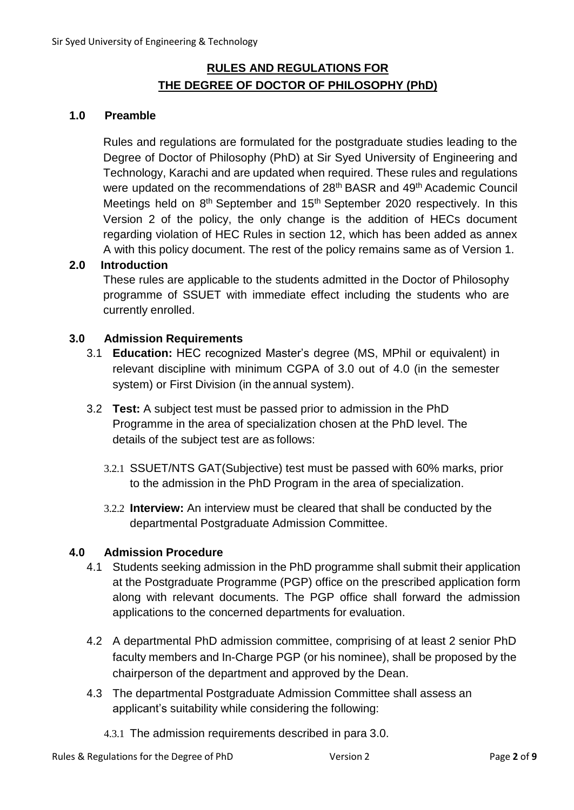# **RULES AND REGULATIONS FOR THE DEGREE OF DOCTOR OF PHILOSOPHY (PhD)**

#### **1.0 Preamble**

Rules and regulations are formulated for the postgraduate studies leading to the Degree of Doctor of Philosophy (PhD) at Sir Syed University of Engineering and Technology, Karachi and are updated when required. These rules and regulations were updated on the recommendations of 28<sup>th</sup> BASR and 49<sup>th</sup> Academic Council Meetings held on 8<sup>th</sup> September and 15<sup>th</sup> September 2020 respectively. In this Version 2 of the policy, the only change is the addition of HECs document regarding violation of HEC Rules in section 12, which has been added as annex A with this policy document. The rest of the policy remains same as of Version 1.

#### **2.0 Introduction**

These rules are applicable to the students admitted in the Doctor of Philosophy programme of SSUET with immediate effect including the students who are currently enrolled.

#### **3.0 Admission Requirements**

- 3.1 **Education:** HEC recognized Master's degree (MS, MPhil or equivalent) in relevant discipline with minimum CGPA of 3.0 out of 4.0 (in the semester system) or First Division (in the annual system).
- 3.2 **Test:** A subject test must be passed prior to admission in the PhD Programme in the area of specialization chosen at the PhD level. The details of the subject test are as follows:
	- 3.2.1 SSUET/NTS GAT(Subjective) test must be passed with 60% marks, prior to the admission in the PhD Program in the area of specialization.
	- 3.2.2 **Interview:** An interview must be cleared that shall be conducted by the departmental Postgraduate Admission Committee.

#### **4.0 Admission Procedure**

- 4.1 Students seeking admission in the PhD programme shall submit their application at the Postgraduate Programme (PGP) office on the prescribed application form along with relevant documents. The PGP office shall forward the admission applications to the concerned departments for evaluation.
- 4.2 A departmental PhD admission committee, comprising of at least 2 senior PhD faculty members and In-Charge PGP (or his nominee), shall be proposed by the chairperson of the department and approved by the Dean.
- 4.3 The departmental Postgraduate Admission Committee shall assess an applicant's suitability while considering the following:
	- 4.3.1 The admission requirements described in para 3.0.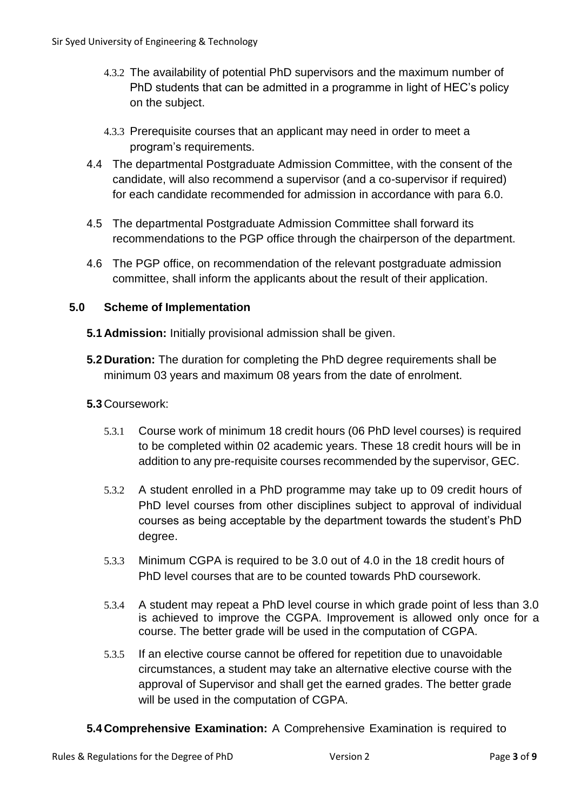- 4.3.2 The availability of potential PhD supervisors and the maximum number of PhD students that can be admitted in a programme in light of HEC's policy on the subject.
- 4.3.3 Prerequisite courses that an applicant may need in order to meet a program's requirements.
- 4.4 The departmental Postgraduate Admission Committee, with the consent of the candidate, will also recommend a supervisor (and a co-supervisor if required) for each candidate recommended for admission in accordance with para 6.0.
- 4.5 The departmental Postgraduate Admission Committee shall forward its recommendations to the PGP office through the chairperson of the department.
- 4.6 The PGP office, on recommendation of the relevant postgraduate admission committee, shall inform the applicants about the result of their application.

### **5.0 Scheme of Implementation**

- **5.1 Admission:** Initially provisional admission shall be given.
- **5.2 Duration:** The duration for completing the PhD degree requirements shall be minimum 03 years and maximum 08 years from the date of enrolment.

# **5.3** Coursework:

- 5.3.1 Course work of minimum 18 credit hours (06 PhD level courses) is required to be completed within 02 academic years. These 18 credit hours will be in addition to any pre-requisite courses recommended by the supervisor, GEC.
- 5.3.2 A student enrolled in a PhD programme may take up to 09 credit hours of PhD level courses from other disciplines subject to approval of individual courses as being acceptable by the department towards the student's PhD degree.
- 5.3.3 Minimum CGPA is required to be 3.0 out of 4.0 in the 18 credit hours of PhD level courses that are to be counted towards PhD coursework.
- 5.3.4 A student may repeat a PhD level course in which grade point of less than 3.0 is achieved to improve the CGPA. Improvement is allowed only once for a course. The better grade will be used in the computation of CGPA.
- 5.3.5 If an elective course cannot be offered for repetition due to unavoidable circumstances, a student may take an alternative elective course with the approval of Supervisor and shall get the earned grades. The better grade will be used in the computation of CGPA.
- **5.4 Comprehensive Examination:** A Comprehensive Examination is required to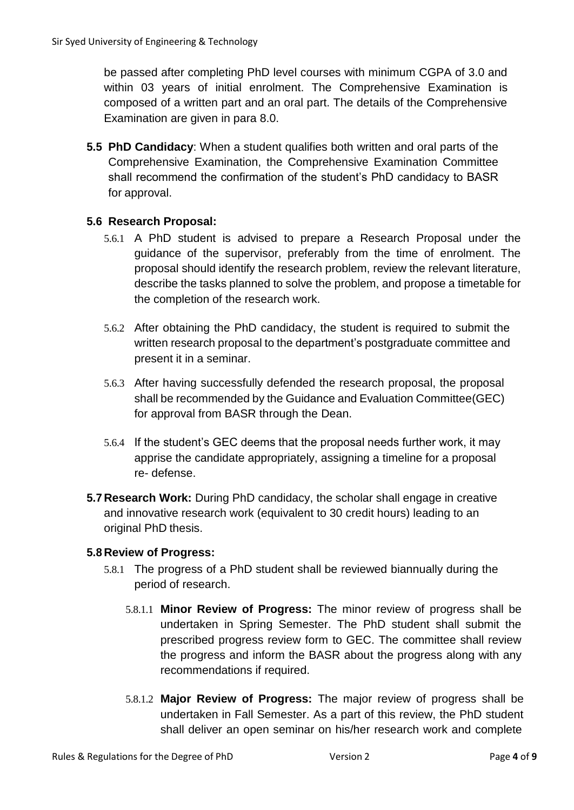be passed after completing PhD level courses with minimum CGPA of 3.0 and within 03 years of initial enrolment. The Comprehensive Examination is composed of a written part and an oral part. The details of the Comprehensive Examination are given in para 8.0.

**5.5 PhD Candidacy**: When a student qualifies both written and oral parts of the Comprehensive Examination, the Comprehensive Examination Committee shall recommend the confirmation of the student's PhD candidacy to BASR for approval.

### **5.6 Research Proposal:**

- 5.6.1 A PhD student is advised to prepare a Research Proposal under the guidance of the supervisor, preferably from the time of enrolment. The proposal should identify the research problem, review the relevant literature, describe the tasks planned to solve the problem, and propose a timetable for the completion of the research work.
- 5.6.2 After obtaining the PhD candidacy, the student is required to submit the written research proposal to the department's postgraduate committee and present it in a seminar.
- 5.6.3 After having successfully defended the research proposal, the proposal shall be recommended by the Guidance and Evaluation Committee(GEC) for approval from BASR through the Dean.
- 5.6.4 If the student's GEC deems that the proposal needs further work, it may apprise the candidate appropriately, assigning a timeline for a proposal re- defense.
- **5.7 Research Work:** During PhD candidacy, the scholar shall engage in creative and innovative research work (equivalent to 30 credit hours) leading to an original PhD thesis.

#### **5.8 Review of Progress:**

- 5.8.1 The progress of a PhD student shall be reviewed biannually during the period of research.
	- 5.8.1.1 **Minor Review of Progress:** The minor review of progress shall be undertaken in Spring Semester. The PhD student shall submit the prescribed progress review form to GEC. The committee shall review the progress and inform the BASR about the progress along with any recommendations if required.
	- 5.8.1.2 **Major Review of Progress:** The major review of progress shall be undertaken in Fall Semester. As a part of this review, the PhD student shall deliver an open seminar on his/her research work and complete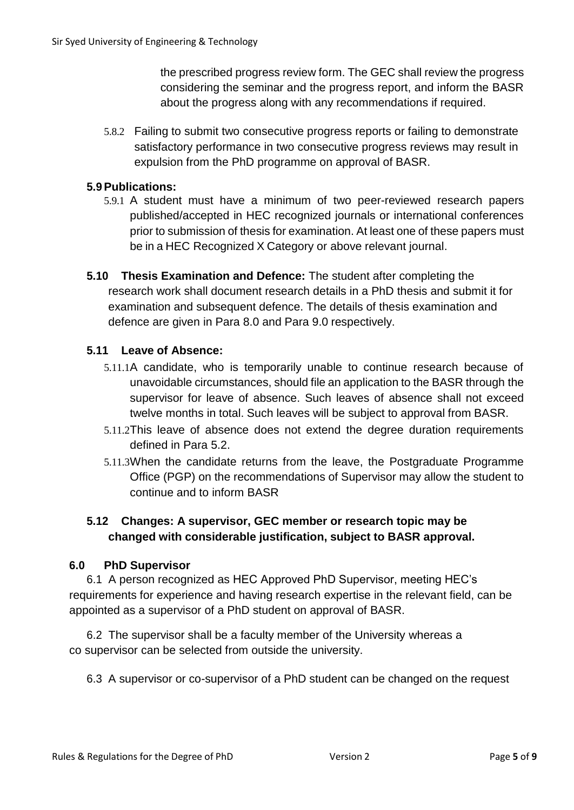the prescribed progress review form. The GEC shall review the progress considering the seminar and the progress report, and inform the BASR about the progress along with any recommendations if required.

5.8.2 Failing to submit two consecutive progress reports or failing to demonstrate satisfactory performance in two consecutive progress reviews may result in expulsion from the PhD programme on approval of BASR.

#### **5.9Publications:**

- 5.9.1 A student must have a minimum of two peer-reviewed research papers published/accepted in HEC recognized journals or international conferences prior to submission of thesis for examination. At least one of these papers must be in a HEC Recognized X Category or above relevant journal.
- **5.10 Thesis Examination and Defence:** The student after completing the research work shall document research details in a PhD thesis and submit it for examination and subsequent defence. The details of thesis examination and defence are given in Para 8.0 and Para 9.0 respectively.

### **5.11 Leave of Absence:**

- 5.11.1A candidate, who is temporarily unable to continue research because of unavoidable circumstances, should file an application to the BASR through the supervisor for leave of absence. Such leaves of absence shall not exceed twelve months in total. Such leaves will be subject to approval from BASR.
- 5.11.2This leave of absence does not extend the degree duration requirements defined in Para 5.2.
- 5.11.3When the candidate returns from the leave, the Postgraduate Programme Office (PGP) on the recommendations of Supervisor may allow the student to continue and to inform BASR

### **5.12 Changes: A supervisor, GEC member or research topic may be changed with considerable justification, subject to BASR approval.**

#### **6.0 PhD Supervisor**

6.1 A person recognized as HEC Approved PhD Supervisor, meeting HEC's requirements for experience and having research expertise in the relevant field, can be appointed as a supervisor of a PhD student on approval of BASR.

6.2 The supervisor shall be a faculty member of the University whereas a co supervisor can be selected from outside the university.

6.3 A supervisor or co-supervisor of a PhD student can be changed on the request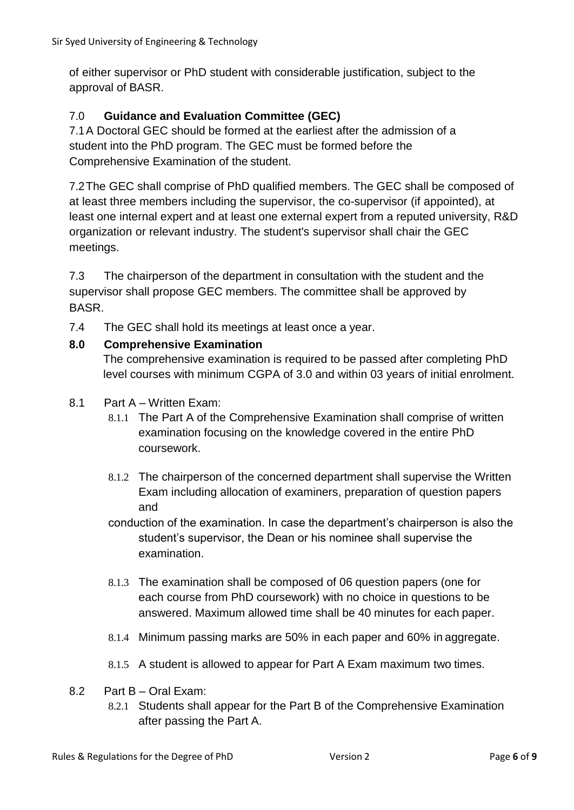of either supervisor or PhD student with considerable justification, subject to the approval of BASR.

# 7.0 **Guidance and Evaluation Committee (GEC)**

7.1A Doctoral GEC should be formed at the earliest after the admission of a student into the PhD program. The GEC must be formed before the Comprehensive Examination of the student.

7.2The GEC shall comprise of PhD qualified members. The GEC shall be composed of at least three members including the supervisor, the co-supervisor (if appointed), at least one internal expert and at least one external expert from a reputed university, R&D organization or relevant industry. The student's supervisor shall chair the GEC meetings.

7.3 The chairperson of the department in consultation with the student and the supervisor shall propose GEC members. The committee shall be approved by **BASR** 

7.4 The GEC shall hold its meetings at least once a year.

### **8.0 Comprehensive Examination**

The comprehensive examination is required to be passed after completing PhD level courses with minimum CGPA of 3.0 and within 03 years of initial enrolment.

- 8.1 Part A Written Exam:
	- 8.1.1 The Part A of the Comprehensive Examination shall comprise of written examination focusing on the knowledge covered in the entire PhD coursework.
	- 8.1.2 The chairperson of the concerned department shall supervise the Written Exam including allocation of examiners, preparation of question papers and
	- conduction of the examination. In case the department's chairperson is also the student's supervisor, the Dean or his nominee shall supervise the examination.
	- 8.1.3 The examination shall be composed of 06 question papers (one for each course from PhD coursework) with no choice in questions to be answered. Maximum allowed time shall be 40 minutes for each paper.
	- 8.1.4 Minimum passing marks are 50% in each paper and 60% in aggregate.
	- 8.1.5 A student is allowed to appear for Part A Exam maximum two times.
- 8.2 Part B Oral Exam:
	- 8.2.1 Students shall appear for the Part B of the Comprehensive Examination after passing the Part A.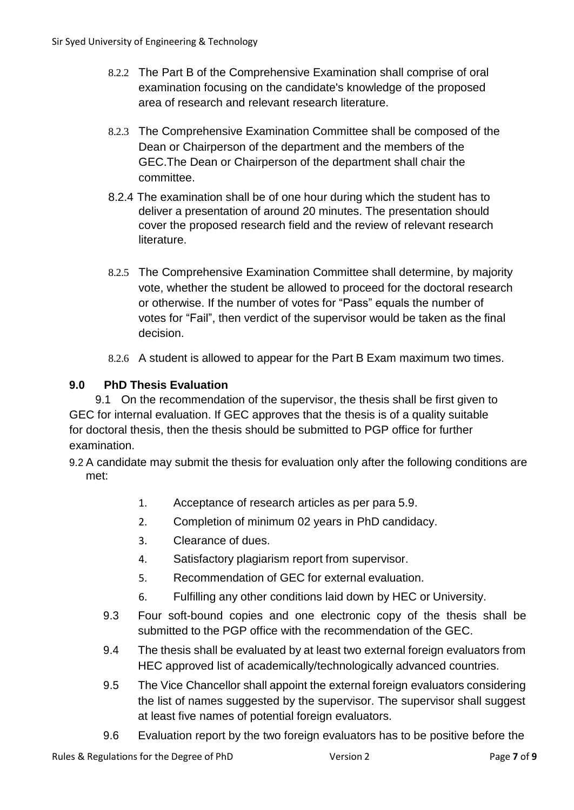- 8.2.2 The Part B of the Comprehensive Examination shall comprise of oral examination focusing on the candidate's knowledge of the proposed area of research and relevant research literature.
- 8.2.3 The Comprehensive Examination Committee shall be composed of the Dean or Chairperson of the department and the members of the GEC.The Dean or Chairperson of the department shall chair the committee.
- 8.2.4 The examination shall be of one hour during which the student has to deliver a presentation of around 20 minutes. The presentation should cover the proposed research field and the review of relevant research literature.
- 8.2.5 The Comprehensive Examination Committee shall determine, by majority vote, whether the student be allowed to proceed for the doctoral research or otherwise. If the number of votes for "Pass" equals the number of votes for "Fail", then verdict of the supervisor would be taken as the final decision.
- 8.2.6 A student is allowed to appear for the Part B Exam maximum two times.

# **9.0 PhD Thesis Evaluation**

9.1 On the recommendation of the supervisor, the thesis shall be first given to GEC for internal evaluation. If GEC approves that the thesis is of a quality suitable for doctoral thesis, then the thesis should be submitted to PGP office for further examination.

- 9.2 A candidate may submit the thesis for evaluation only after the following conditions are met:
	- 1. Acceptance of research articles as per para 5.9.
	- 2. Completion of minimum 02 years in PhD candidacy.
	- 3. Clearance of dues.
	- 4. Satisfactory plagiarism report from supervisor.
	- 5. Recommendation of GEC for external evaluation.
	- 6. Fulfilling any other conditions laid down by HEC or University.
	- 9.3 Four soft-bound copies and one electronic copy of the thesis shall be submitted to the PGP office with the recommendation of the GEC.
	- 9.4 The thesis shall be evaluated by at least two external foreign evaluators from HEC approved list of academically/technologically advanced countries.
	- 9.5 The Vice Chancellor shall appoint the external foreign evaluators considering the list of names suggested by the supervisor. The supervisor shall suggest at least five names of potential foreign evaluators.
	- 9.6 Evaluation report by the two foreign evaluators has to be positive before the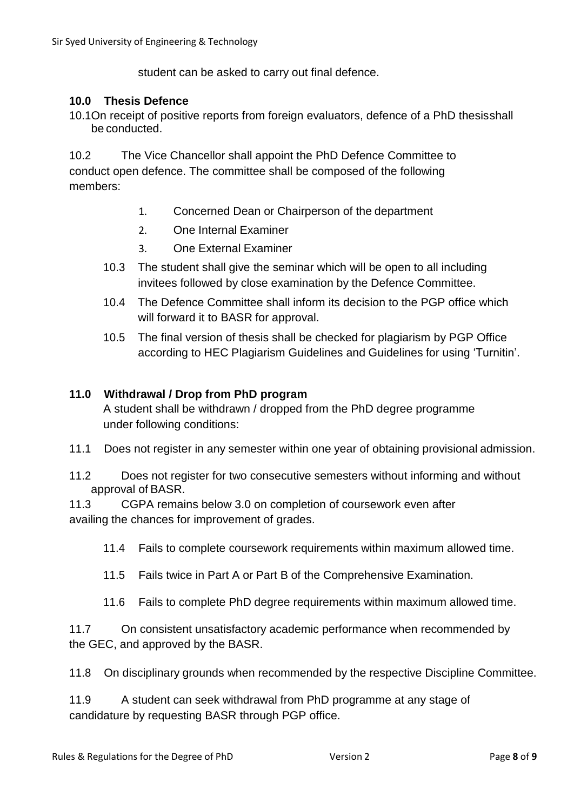student can be asked to carry out final defence.

#### **10.0 Thesis Defence**

10.1On receipt of positive reports from foreign evaluators, defence of a PhD thesisshall be conducted.

10.2 The Vice Chancellor shall appoint the PhD Defence Committee to conduct open defence. The committee shall be composed of the following members:

- 1. Concerned Dean or Chairperson of the department
- 2. One Internal Examiner
- 3. One External Examiner
- 10.3 The student shall give the seminar which will be open to all including invitees followed by close examination by the Defence Committee.
- 10.4 The Defence Committee shall inform its decision to the PGP office which will forward it to BASR for approval.
- 10.5 The final version of thesis shall be checked for plagiarism by PGP Office according to HEC Plagiarism Guidelines and Guidelines for using 'Turnitin'.

#### **11.0 Withdrawal / Drop from PhD program**

A student shall be withdrawn / dropped from the PhD degree programme under following conditions:

- 11.1 Does not register in any semester within one year of obtaining provisional admission.
- 11.2 Does not register for two consecutive semesters without informing and without approval of BASR.

11.3 CGPA remains below 3.0 on completion of coursework even after availing the chances for improvement of grades.

- 11.4 Fails to complete coursework requirements within maximum allowed time.
- 11.5 Fails twice in Part A or Part B of the Comprehensive Examination.
- 11.6 Fails to complete PhD degree requirements within maximum allowed time.

11.7 On consistent unsatisfactory academic performance when recommended by the GEC, and approved by the BASR.

11.8 On disciplinary grounds when recommended by the respective Discipline Committee.

11.9 A student can seek withdrawal from PhD programme at any stage of candidature by requesting BASR through PGP office.